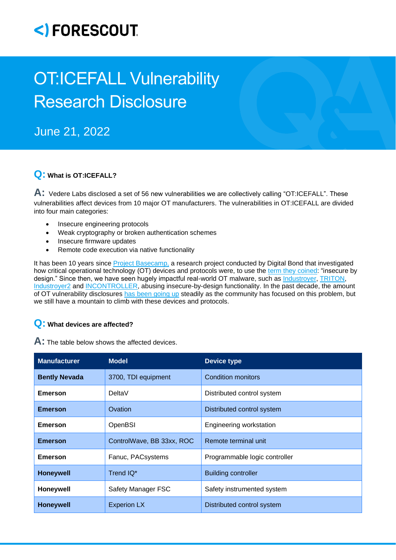## <)FORESCOUT

# OT:ICEFALL Vulnerability Research Disclosure

### June 21, 2022

#### **Q: What is OT:ICEFALL?**

**A:** Vedere Labs disclosed a set of 56 new vulnerabilities we are collectively calling "OT:ICEFALL". These vulnerabilities affect devices from 10 major OT manufacturers. The vulnerabilities in OT:ICEFALL are divided into four main categories:

- Insecure engineering protocols
- Weak cryptography or broken authentication schemes
- Insecure firmware updates
- Remote code execution via native functionality

It has been 10 years since [Project Basecamp,](https://github.com/digitalbond/Basecamp) a research project conducted by Digital Bond that investigated how critical operational technology (OT) devices and protocols were, to use the [term they coined:](https://dale-peterson.com/2013/11/04/insecure-by-design-secure-by-design/) "insecure by design." Since then, we have seen hugely impactful real-world OT malware, such as [Industroyer,](https://malpedia.caad.fkie.fraunhofer.de/details/win.industroyer) [TRITON,](https://malpedia.caad.fkie.fraunhofer.de/details/win.triton) [Industroyer2](https://www.welivesecurity.com/2022/04/12/industroyer2-industroyer-reloaded/) and [INCONTROLLER,](https://www.cisa.gov/uscert/ncas/alerts/aa22-103a) abusing insecure-by-design functionality. In the past decade, the amount of OT vulnerability disclosures [has been going up](https://www.cisa.gov/uscert/ics/advisories?items_per_page=All) steadily as the community has focused on this problem, but we still have a mountain to climb with these devices and protocols.

#### **Q: What devices are affected?**

**A:** The table below shows the affected devices.

| <b>Manufacturer</b>  | <b>Model</b>              | <b>Device type</b>            |
|----------------------|---------------------------|-------------------------------|
| <b>Bently Nevada</b> | 3700, TDI equipment       | <b>Condition monitors</b>     |
| <b>Emerson</b>       | DeltaV                    | Distributed control system    |
| <b>Emerson</b>       | Ovation                   | Distributed control system    |
| Emerson              | OpenBSI                   | Engineering workstation       |
| <b>Emerson</b>       | ControlWave, BB 33xx, ROC | Remote terminal unit          |
| <b>Emerson</b>       | Fanuc, PACsystems         | Programmable logic controller |
| <b>Honeywell</b>     | Trend IQ*                 | <b>Building controller</b>    |
| Honeywell            | Safety Manager FSC        | Safety instrumented system    |
| <b>Honeywell</b>     | <b>Experion LX</b>        | Distributed control system    |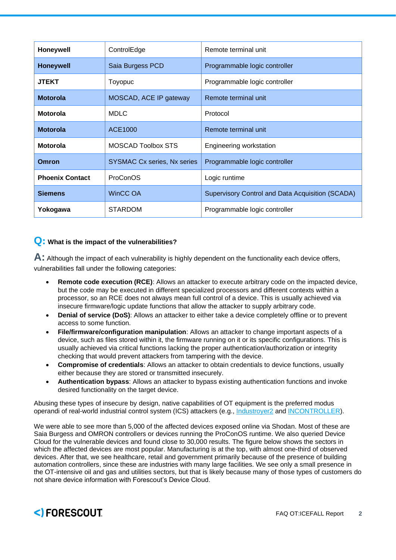| Honeywell              | ControlEdge                 | Remote terminal unit                                    |
|------------------------|-----------------------------|---------------------------------------------------------|
| <b>Honeywell</b>       | Saia Burgess PCD            | Programmable logic controller                           |
| <b>JTEKT</b>           | Toyopuc                     | Programmable logic controller                           |
| <b>Motorola</b>        | MOSCAD, ACE IP gateway      | Remote terminal unit                                    |
| <b>Motorola</b>        | <b>MDLC</b>                 | Protocol                                                |
| <b>Motorola</b>        | ACE1000                     | Remote terminal unit                                    |
| <b>Motorola</b>        | <b>MOSCAD Toolbox STS</b>   | Engineering workstation                                 |
| Omron                  | SYSMAC Cx series, Nx series | Programmable logic controller                           |
| <b>Phoenix Contact</b> | ProConOS                    | Logic runtime                                           |
| <b>Siemens</b>         | WinCC OA                    | <b>Supervisory Control and Data Acquisition (SCADA)</b> |
| Yokogawa               | <b>STARDOM</b>              | Programmable logic controller                           |

#### **Q: What is the impact of the vulnerabilities?**

A: Although the impact of each vulnerability is highly dependent on the functionality each device offers, vulnerabilities fall under the following categories:

- **Remote code execution (RCE)**: Allows an attacker to execute arbitrary code on the impacted device, but the code may be executed in different specialized processors and different contexts within a processor, so an RCE does not always mean full control of a device. This is usually achieved via insecure firmware/logic update functions that allow the attacker to supply arbitrary code.
- **Denial of service (DoS)**: Allows an attacker to either take a device completely offline or to prevent access to some function.
- **File/firmware/configuration manipulation**: Allows an attacker to change important aspects of a device, such as files stored within it, the firmware running on it or its specific configurations. This is usually achieved via critical functions lacking the proper authentication/authorization or integrity checking that would prevent attackers from tampering with the device.
- **Compromise of credentials**: Allows an attacker to obtain credentials to device functions, usually either because they are stored or transmitted insecurely.
- **Authentication bypass**: Allows an attacker to bypass existing authentication functions and invoke desired functionality on the target device.

Abusing these types of insecure by design, native capabilities of OT equipment is the preferred modus operandi of real-world industrial control system (ICS) attackers (e.g., [Industroyer2](https://www.welivesecurity.com/2022/04/12/industroyer2-industroyer-reloaded/) and [INCONTROLLER\)](https://www.cisa.gov/uscert/ncas/alerts/aa22-103a).

We were able to see more than 5,000 of the affected devices exposed online via Shodan. Most of these are Saia Burgess and OMRON controllers or devices running the ProConOS runtime. We also queried Device Cloud for the vulnerable devices and found close to 30,000 results. The figure below shows the sectors in which the affected devices are most popular. Manufacturing is at the top, with almost one-third of observed devices. After that, we see healthcare, retail and government primarily because of the presence of building automation controllers, since these are industries with many large facilities. We see only a small presence in the OT-intensive oil and gas and utilities sectors, but that is likely because many of those types of customers do not share device information with Forescout's Device Cloud.

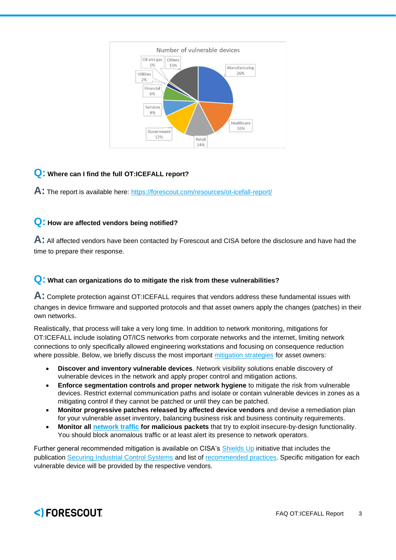

#### **Q: Where can I find the full OT:ICEFALL report?**

**A:** The report is available here: <https://forescout.com/resources/ot-icefall-report/>

#### **Q: How are affected vendors being notified?**

**A:** All affected vendors have been contacted by Forescout and CISA before the disclosure and have had the time to prepare their response.

#### **Q: What can organizations do to mitigate the risk from these vulnerabilities?**

**A:** Complete protection against OT:ICEFALL requires that vendors address these fundamental issues with changes in device firmware and supported protocols and that asset owners apply the changes (patches) in their own networks.

Realistically, that process will take a very long time. In addition to network monitoring, mitigations for OT:ICEFALL include isolating OT/ICS networks from corporate networks and the internet, limiting network connections to only specifically allowed engineering workstations and focusing on consequence reduction where possible. Below, we briefly discuss the most important [mitigation strategies](https://www.forescout.com/resources/ics-solution-brief/) for asset owners:

- **Discover and inventory vulnerable devices**. Network visibility solutions enable discovery of vulnerable devices in the network and apply proper control and mitigation actions.
- **Enforce segmentation controls and proper network hygiene** to mitigate the risk from vulnerable devices. Restrict external communication paths and isolate or contain vulnerable devices in zones as a mitigating control if they cannot be patched or until they can be patched.
- **Monitor progressive patches released by affected device vendors** and devise a remediation plan for your vulnerable asset inventory, balancing business risk and business continuity requirements.
- **Monitor all [network traffic](https://www.forescout.com/resources/monitoring-industrial-control-systems-to-improve-operations-and-security/) for malicious packets** that try to exploit insecure-by-design functionality. You should block anomalous traffic or at least alert its presence to network operators.

Further general recommended mitigation is available on CISA's [Shields Up](https://www.cisa.gov/shields-up) initiative that includes the publication [Securing Industrial Control Systems](https://www.cisa.gov/publication/securing-industrial-control-systems) and list of [recommended practices.](https://www.cisa.gov/uscert/ics/Recommended-Practices) Specific mitigation for each vulnerable device will be provided by the respective vendors.